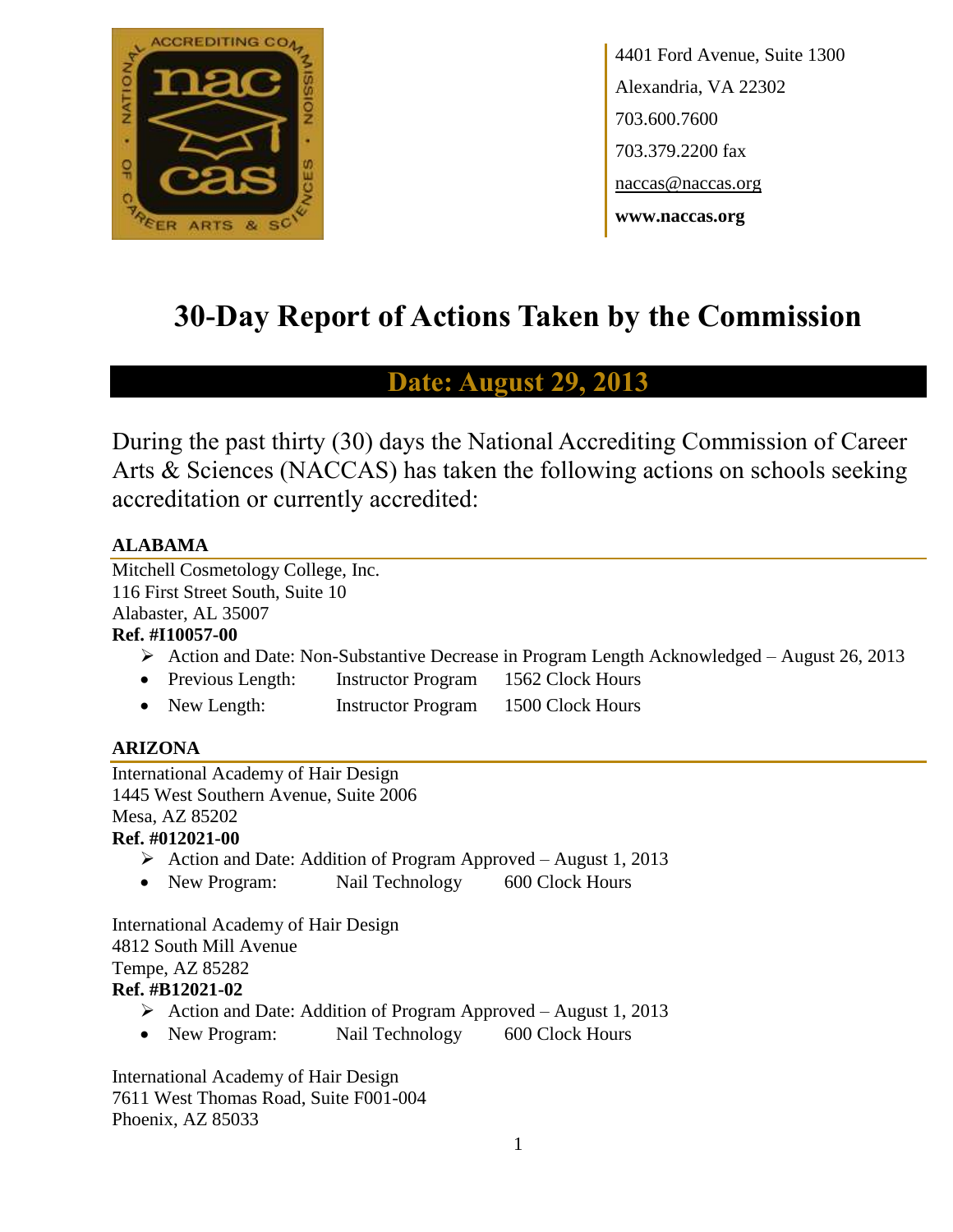

4401 Ford Avenue, Suite 1300 Alexandria, VA 22302 703.600.7600 703.379.2200 fax naccas@naccas.org **www.naccas.org**

# **30-Day Report of Actions Taken by the Commission**

# **Date: August 29, 2013**

During the past thirty (30) days the National Accrediting Commission of Career Arts & Sciences (NACCAS) has taken the following actions on schools seeking accreditation or currently accredited:

# **ALABAMA**

Mitchell Cosmetology College, Inc. 116 First Street South, Suite 10 Alabaster, AL 35007

# **Ref. #I10057-00**

- Action and Date: Non-Substantive Decrease in Program Length Acknowledged August 26, 2013
- Previous Length: Instructor Program 1562 Clock Hours
- New Length: Instructor Program 1500 Clock Hours

# **ARIZONA**

International Academy of Hair Design 1445 West Southern Avenue, Suite 2006 Mesa, AZ 85202 **Ref. #012021-00**

- Action and Date: Addition of Program Approved August 1, 2013
- New Program: Nail Technology 600 Clock Hours

International Academy of Hair Design 4812 South Mill Avenue Tempe, AZ 85282 **Ref. #B12021-02**

- $\triangleright$  Action and Date: Addition of Program Approved August 1, 2013
- New Program: Nail Technology 600 Clock Hours

International Academy of Hair Design 7611 West Thomas Road, Suite F001-004 Phoenix, AZ 85033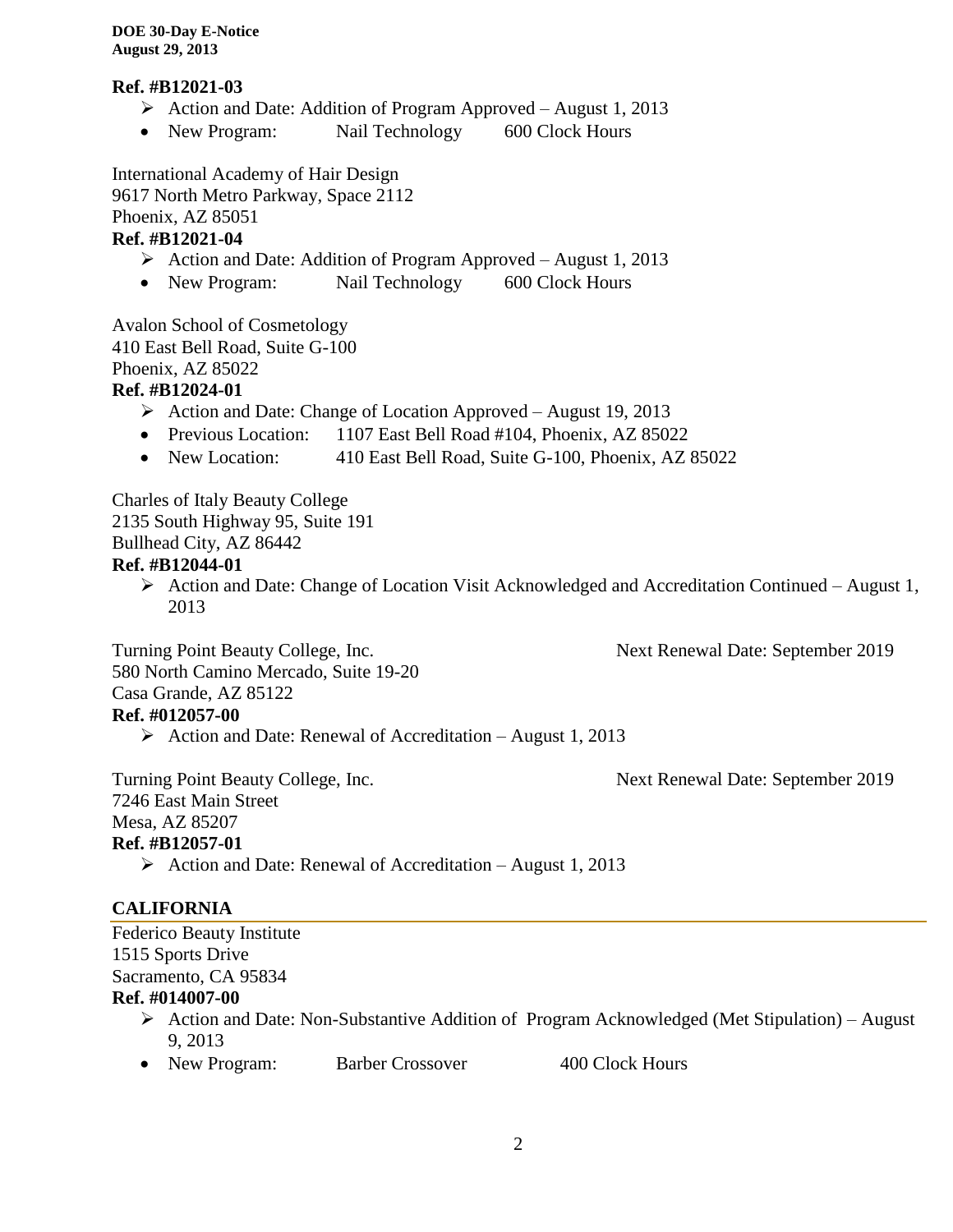# **Ref. #B12021-03**

- Action and Date: Addition of Program Approved August 1, 2013
- New Program: Nail Technology 600 Clock Hours

International Academy of Hair Design 9617 North Metro Parkway, Space 2112 Phoenix, AZ 85051

# **Ref. #B12021-04**

- Action and Date: Addition of Program Approved August 1, 2013
- New Program: Nail Technology 600 Clock Hours

Avalon School of Cosmetology 410 East Bell Road, Suite G-100 Phoenix, AZ 85022

# **Ref. #B12024-01**

- $\triangleright$  Action and Date: Change of Location Approved August 19, 2013
- Previous Location: 1107 East Bell Road #104, Phoenix, AZ 85022
- New Location: 410 East Bell Road, Suite G-100, Phoenix, AZ 85022

Charles of Italy Beauty College 2135 South Highway 95, Suite 191 Bullhead City, AZ 86442 **Ref. #B12044-01**

 Action and Date: Change of Location Visit Acknowledged and Accreditation Continued – August 1, 2013

Turning Point Beauty College, Inc. Next Renewal Date: September 2019

580 North Camino Mercado, Suite 19-20 Casa Grande, AZ 85122 **Ref. #012057-00**

 $\triangleright$  Action and Date: Renewal of Accreditation – August 1, 2013

Turning Point Beauty College, Inc. Next Renewal Date: September 2019

7246 East Main Street Mesa, AZ 85207 **Ref. #B12057-01**

 $\triangleright$  Action and Date: Renewal of Accreditation – August 1, 2013

# **CALIFORNIA**

Federico Beauty Institute 1515 Sports Drive Sacramento, CA 95834

# **Ref. #014007-00**

- Action and Date: Non-Substantive Addition of Program Acknowledged (Met Stipulation) August 9, 2013
- New Program: Barber Crossover 400 Clock Hours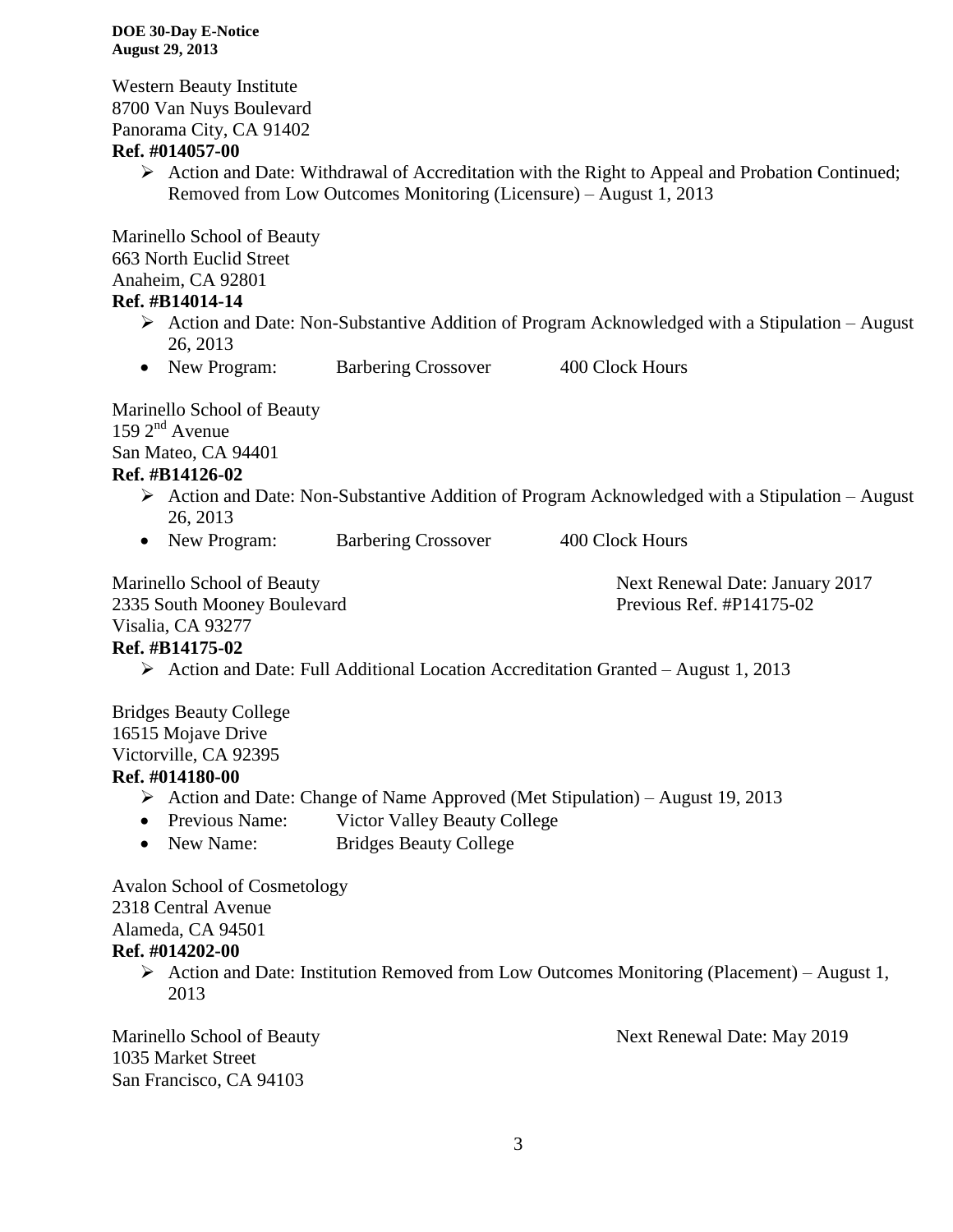Western Beauty Institute 8700 Van Nuys Boulevard Panorama City, CA 91402

## **Ref. #014057-00**

 $\triangleright$  Action and Date: Withdrawal of Accreditation with the Right to Appeal and Probation Continued; Removed from Low Outcomes Monitoring (Licensure) – August 1, 2013

Marinello School of Beauty 663 North Euclid Street Anaheim, CA 92801

# **Ref. #B14014-14**

- $\triangleright$  Action and Date: Non-Substantive Addition of Program Acknowledged with a Stipulation August 26, 2013
- New Program: Barbering Crossover 400 Clock Hours

Marinello School of Beauty  $159 \, 2^{nd}$  Avenue San Mateo, CA 94401

# **Ref. #B14126-02**

- $\triangleright$  Action and Date: Non-Substantive Addition of Program Acknowledged with a Stipulation August 26, 2013
- New Program: Barbering Crossover 400 Clock Hours

Marinello School of Beauty Next Renewal Date: January 2017 2335 South Mooney Boulevard Previous Ref. #P14175-02

# Visalia, CA 93277

# **Ref. #B14175-02**

 $\triangleright$  Action and Date: Full Additional Location Accreditation Granted – August 1, 2013

Bridges Beauty College 16515 Mojave Drive Victorville, CA 92395

# **Ref. #014180-00**

- Action and Date: Change of Name Approved (Met Stipulation) August 19, 2013
- Previous Name: Victor Valley Beauty College
- New Name: Bridges Beauty College

Avalon School of Cosmetology 2318 Central Avenue Alameda, CA 94501 **Ref. #014202-00**

 $\triangleright$  Action and Date: Institution Removed from Low Outcomes Monitoring (Placement) – August 1, 2013

1035 Market Street San Francisco, CA 94103

Marinello School of Beauty Next Renewal Date: May 2019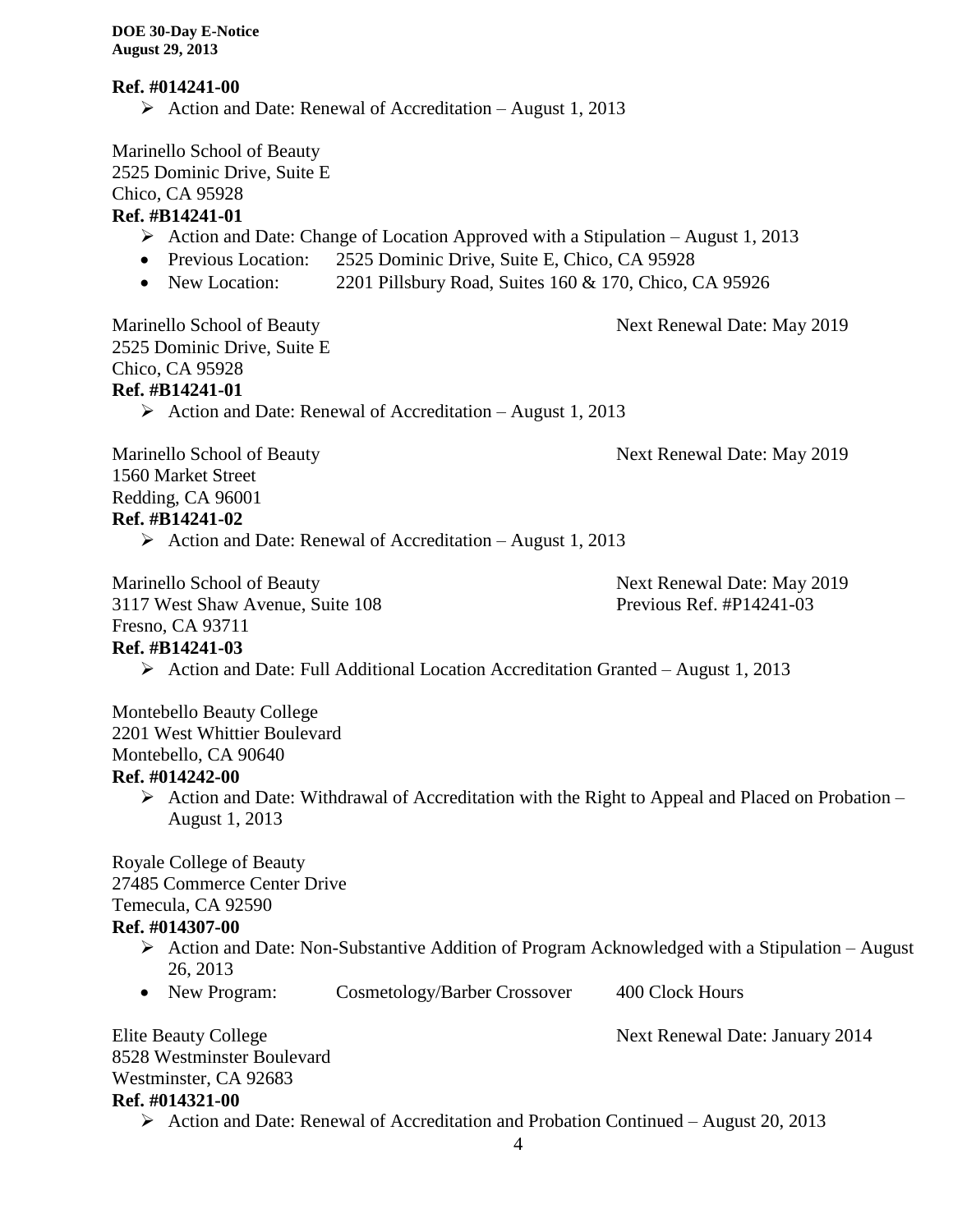#### **Ref. #014241-00**

Action and Date: Renewal of Accreditation – August 1, 2013

Marinello School of Beauty 2525 Dominic Drive, Suite E

Chico, CA 95928

# **Ref. #B14241-01**

- $\triangleright$  Action and Date: Change of Location Approved with a Stipulation August 1, 2013
- Previous Location: 2525 Dominic Drive, Suite E, Chico, CA 95928
- New Location: 2201 Pillsbury Road, Suites 160 & 170, Chico, CA 95926

Marinello School of Beauty Next Renewal Date: May 2019 2525 Dominic Drive, Suite E Chico, CA 95928

# **Ref. #B14241-01**

 $\triangleright$  Action and Date: Renewal of Accreditation – August 1, 2013

Marinello School of Beauty Next Renewal Date: May 2019

1560 Market Street Redding, CA 96001 **Ref. #B14241-02**

Action and Date: Renewal of Accreditation – August 1, 2013

Marinello School of Beauty Next Renewal Date: May 2019

#### 3117 West Shaw Avenue, Suite 108 Previous Ref. #P14241-03 Fresno, CA 93711

# **Ref. #B14241-03**

Action and Date: Full Additional Location Accreditation Granted – August 1, 2013

Montebello Beauty College 2201 West Whittier Boulevard Montebello, CA 90640

# **Ref. #014242-00**

 $\triangleright$  Action and Date: Withdrawal of Accreditation with the Right to Appeal and Placed on Probation – August 1, 2013

Royale College of Beauty 27485 Commerce Center Drive Temecula, CA 92590 **Ref. #014307-00**

- $\triangleright$  Action and Date: Non-Substantive Addition of Program Acknowledged with a Stipulation August 26, 2013
- New Program: Cosmetology/Barber Crossover 400 Clock Hours

Elite Beauty College Next Renewal Date: January 2014

8528 Westminster Boulevard Westminster, CA 92683 **Ref. #014321-00**

 $\triangleright$  Action and Date: Renewal of Accreditation and Probation Continued – August 20, 2013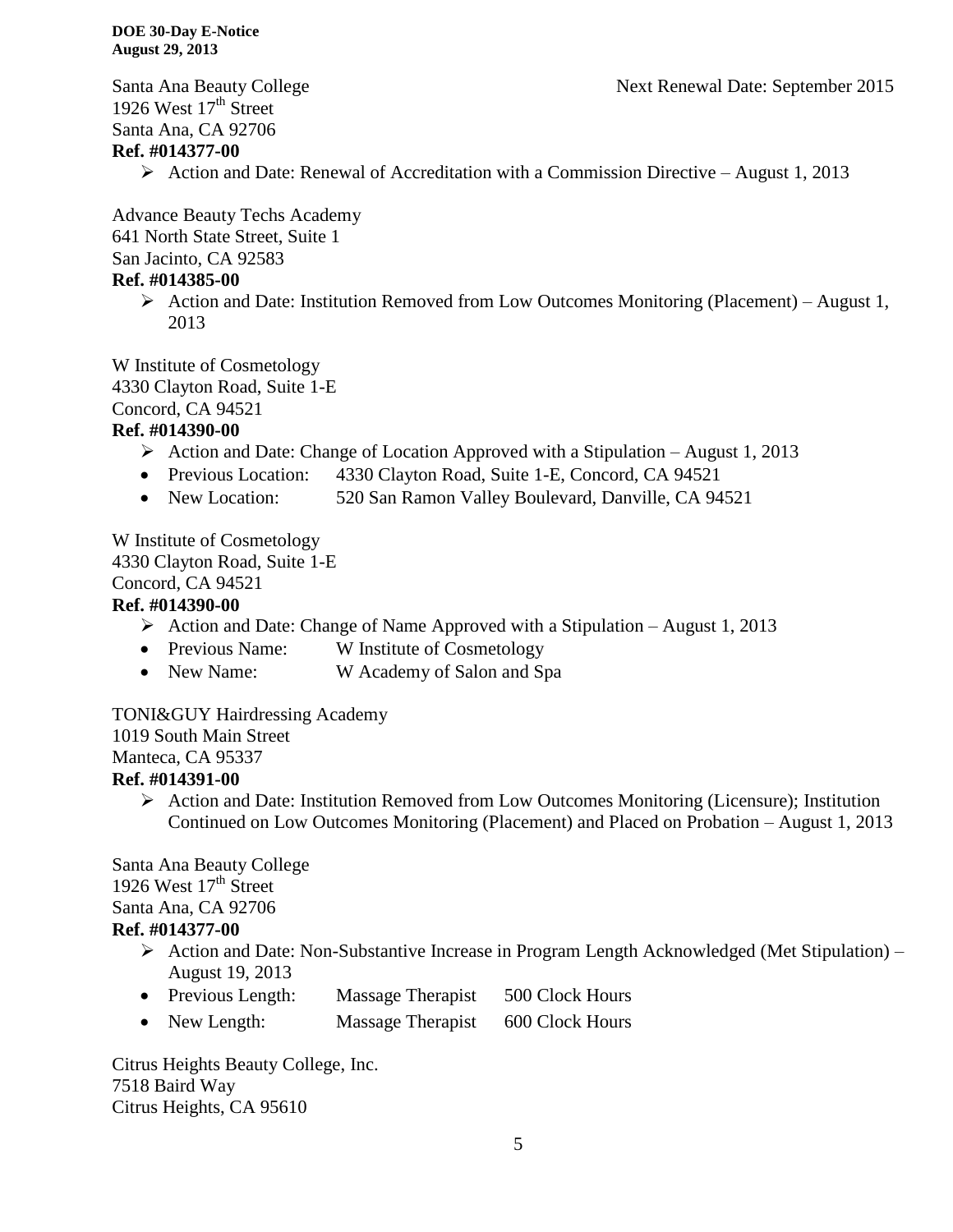Santa Ana Beauty College Next Renewal Date: September 2015

1926 West  $17<sup>th</sup>$  Street Santa Ana, CA 92706

# **Ref. #014377-00**

 $\triangleright$  Action and Date: Renewal of Accreditation with a Commission Directive – August 1, 2013

Advance Beauty Techs Academy 641 North State Street, Suite 1

San Jacinto, CA 92583

## **Ref. #014385-00**

 $\triangleright$  Action and Date: Institution Removed from Low Outcomes Monitoring (Placement) – August 1, 2013

W Institute of Cosmetology 4330 Clayton Road, Suite 1-E

Concord, CA 94521

# **Ref. #014390-00**

- Action and Date: Change of Location Approved with a Stipulation August 1, 2013
- Previous Location: 4330 Clayton Road, Suite 1-E, Concord, CA 94521
- New Location: 520 San Ramon Valley Boulevard, Danville, CA 94521

W Institute of Cosmetology 4330 Clayton Road, Suite 1-E Concord, CA 94521

#### **Ref. #014390-00**

- $\triangleright$  Action and Date: Change of Name Approved with a Stipulation August 1, 2013
- Previous Name: W Institute of Cosmetology
- New Name: W Academy of Salon and Spa

TONI&GUY Hairdressing Academy 1019 South Main Street Manteca, CA 95337

# **Ref. #014391-00**

 $\triangleright$  Action and Date: Institution Removed from Low Outcomes Monitoring (Licensure); Institution Continued on Low Outcomes Monitoring (Placement) and Placed on Probation – August 1, 2013

Santa Ana Beauty College 1926 West  $17<sup>th</sup>$  Street Santa Ana, CA 92706 **Ref. #014377-00**

- $\triangleright$  Action and Date: Non-Substantive Increase in Program Length Acknowledged (Met Stipulation) August 19, 2013
- Previous Length: Massage Therapist 500 Clock Hours
- New Length: Massage Therapist 600 Clock Hours

Citrus Heights Beauty College, Inc. 7518 Baird Way Citrus Heights, CA 95610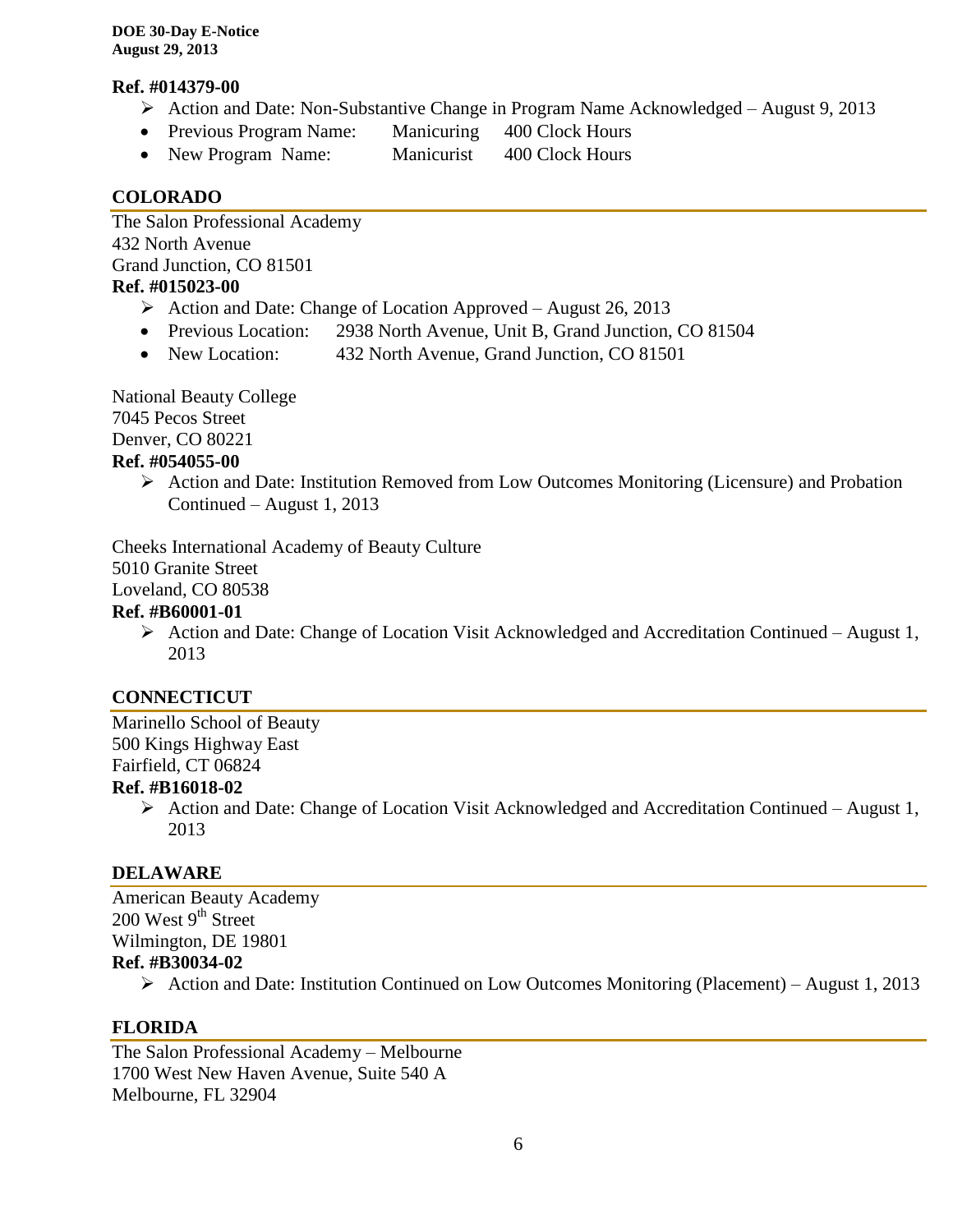#### **Ref. #014379-00**

- $\triangleright$  Action and Date: Non-Substantive Change in Program Name Acknowledged August 9, 2013
- Previous Program Name: Manicuring 400 Clock Hours
- New Program Name: Manicurist 400 Clock Hours

# **COLORADO**

The Salon Professional Academy 432 North Avenue Grand Junction, CO 81501 **Ref. #015023-00**

- $\triangleright$  Action and Date: Change of Location Approved August 26, 2013
- Previous Location: 2938 North Avenue, Unit B, Grand Junction, CO 81504
- New Location: 432 North Avenue, Grand Junction, CO 81501

National Beauty College 7045 Pecos Street Denver, CO 80221

# **Ref. #054055-00**

 Action and Date: Institution Removed from Low Outcomes Monitoring (Licensure) and Probation Continued – August 1, 2013

Cheeks International Academy of Beauty Culture

5010 Granite Street

Loveland, CO 80538

#### **Ref. #B60001-01**

 Action and Date: Change of Location Visit Acknowledged and Accreditation Continued – August 1, 2013

# **CONNECTICUT**

Marinello School of Beauty 500 Kings Highway East Fairfield, CT 06824

# **Ref. #B16018-02**

 $\triangleright$  Action and Date: Change of Location Visit Acknowledged and Accreditation Continued – August 1, 2013

# **DELAWARE**

American Beauty Academy  $200$  West 9<sup>th</sup> Street Wilmington, DE 19801 **Ref. #B30034-02**

 $\triangleright$  Action and Date: Institution Continued on Low Outcomes Monitoring (Placement) – August 1, 2013

# **FLORIDA**

The Salon Professional Academy – Melbourne 1700 West New Haven Avenue, Suite 540 A Melbourne, FL 32904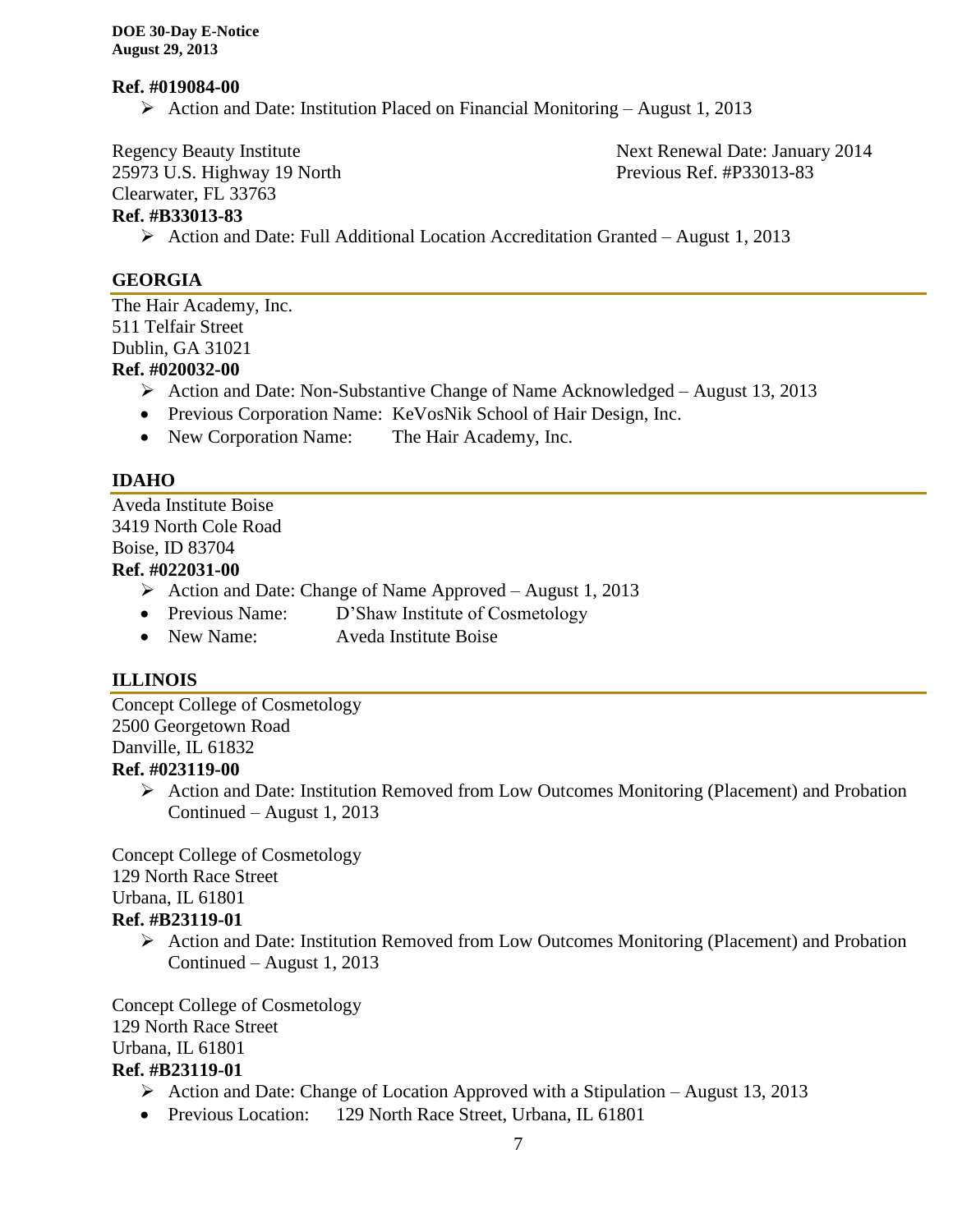#### **Ref. #019084-00**

Action and Date: Institution Placed on Financial Monitoring – August 1, 2013

Clearwater, FL 33763

25973 U.S. Highway 19 North Previous Ref. #P33013-83

Regency Beauty Institute **Next Renewal Date: January 2014** 

# **Ref. #B33013-83**

Action and Date: Full Additional Location Accreditation Granted – August 1, 2013

# **GEORGIA**

The Hair Academy, Inc. 511 Telfair Street Dublin, GA 31021 **Ref. #020032-00**

- Action and Date: Non-Substantive Change of Name Acknowledged August 13, 2013
- Previous Corporation Name: KeVosNik School of Hair Design, Inc.
- New Corporation Name: The Hair Academy, Inc.

# **IDAHO**

Aveda Institute Boise 3419 North Cole Road Boise, ID 83704 **Ref. #022031-00**

- $\triangleright$  Action and Date: Change of Name Approved August 1, 2013
- Previous Name: D'Shaw Institute of Cosmetology
- New Name: Aveda Institute Boise

# **ILLINOIS**

Concept College of Cosmetology 2500 Georgetown Road Danville, IL 61832 **Ref. #023119-00**

 Action and Date: Institution Removed from Low Outcomes Monitoring (Placement) and Probation Continued – August 1, 2013

Concept College of Cosmetology 129 North Race Street Urbana, IL 61801 **Ref. #B23119-01**

 Action and Date: Institution Removed from Low Outcomes Monitoring (Placement) and Probation Continued – August 1, 2013

Concept College of Cosmetology 129 North Race Street Urbana, IL 61801 **Ref. #B23119-01**

- Action and Date: Change of Location Approved with a Stipulation August 13, 2013
- Previous Location: 129 North Race Street, Urbana, IL 61801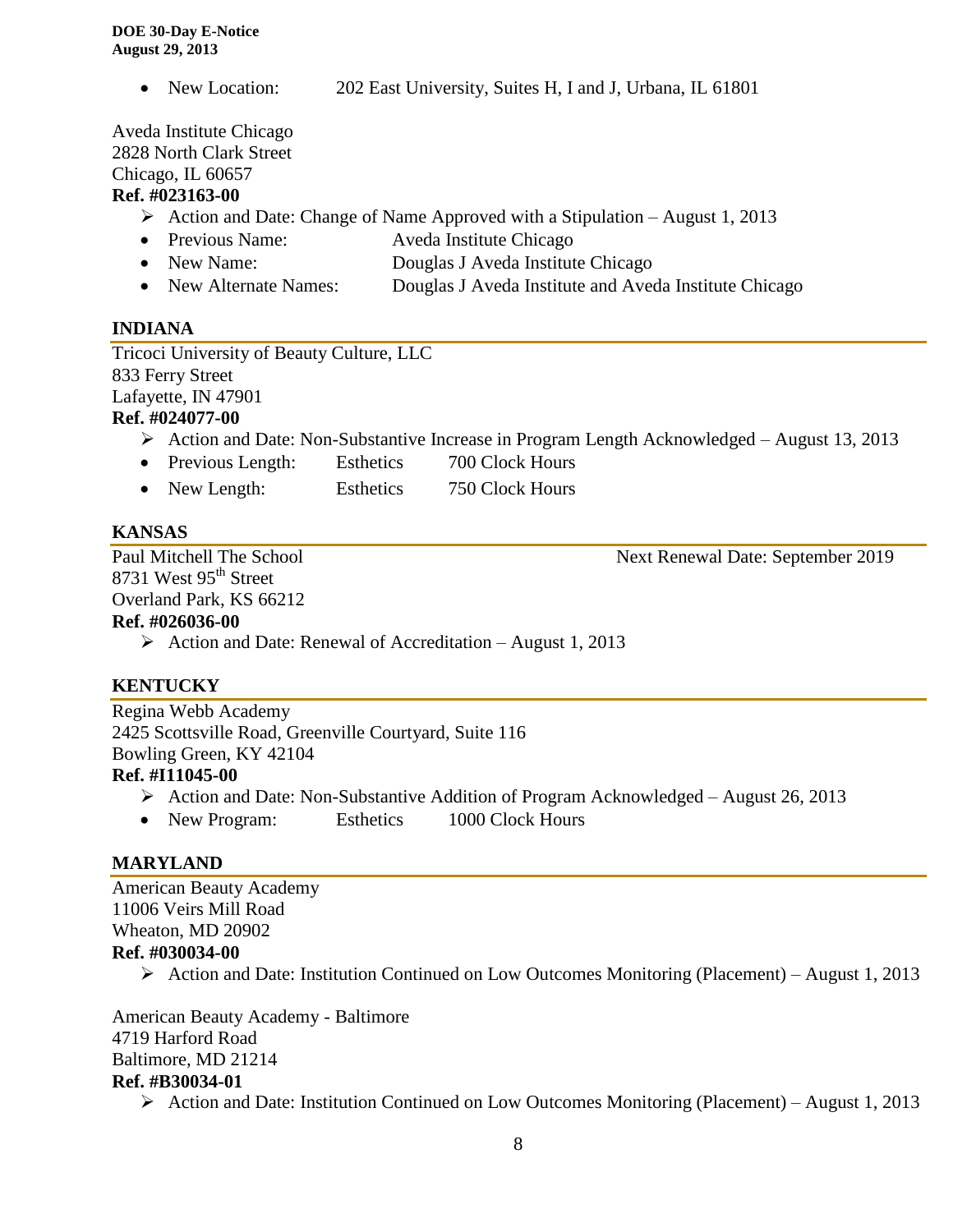• New Location: 202 East University, Suites H, I and J, Urbana, IL 61801

Aveda Institute Chicago 2828 North Clark Street Chicago, IL 60657

# **Ref. #023163-00**

- Action and Date: Change of Name Approved with a Stipulation August 1, 2013
- Previous Name: Aveda Institute Chicago
- New Name: Douglas J Aveda Institute Chicago
- New Alternate Names: Douglas J Aveda Institute and Aveda Institute Chicago

# **INDIANA**

Tricoci University of Beauty Culture, LLC 833 Ferry Street Lafayette, IN 47901

# **Ref. #024077-00**

- Action and Date: Non-Substantive Increase in Program Length Acknowledged August 13, 2013
- Previous Length: Esthetics 700 Clock Hours
- New Length: Esthetics 750 Clock Hours

# **KANSAS**

8731 West 95<sup>th</sup> Street Overland Park, KS 66212

Paul Mitchell The School Next Renewal Date: September 2019

# **Ref. #026036-00**

 $\triangleright$  Action and Date: Renewal of Accreditation – August 1, 2013

# **KENTUCKY**

Regina Webb Academy 2425 Scottsville Road, Greenville Courtyard, Suite 116 Bowling Green, KY 42104 **Ref. #I11045-00**

- Action and Date: Non-Substantive Addition of Program Acknowledged August 26, 2013
- New Program: Esthetics 1000 Clock Hours

#### **MARYLAND**

American Beauty Academy 11006 Veirs Mill Road Wheaton, MD 20902 **Ref. #030034-00**  $\triangleright$  Action and Date: Institution Continued on Low Outcomes Monitoring (Placement) – August 1, 2013

American Beauty Academy - Baltimore 4719 Harford Road Baltimore, MD 21214 **Ref. #B30034-01**  $\triangleright$  Action and Date: Institution Continued on Low Outcomes Monitoring (Placement) – August 1, 2013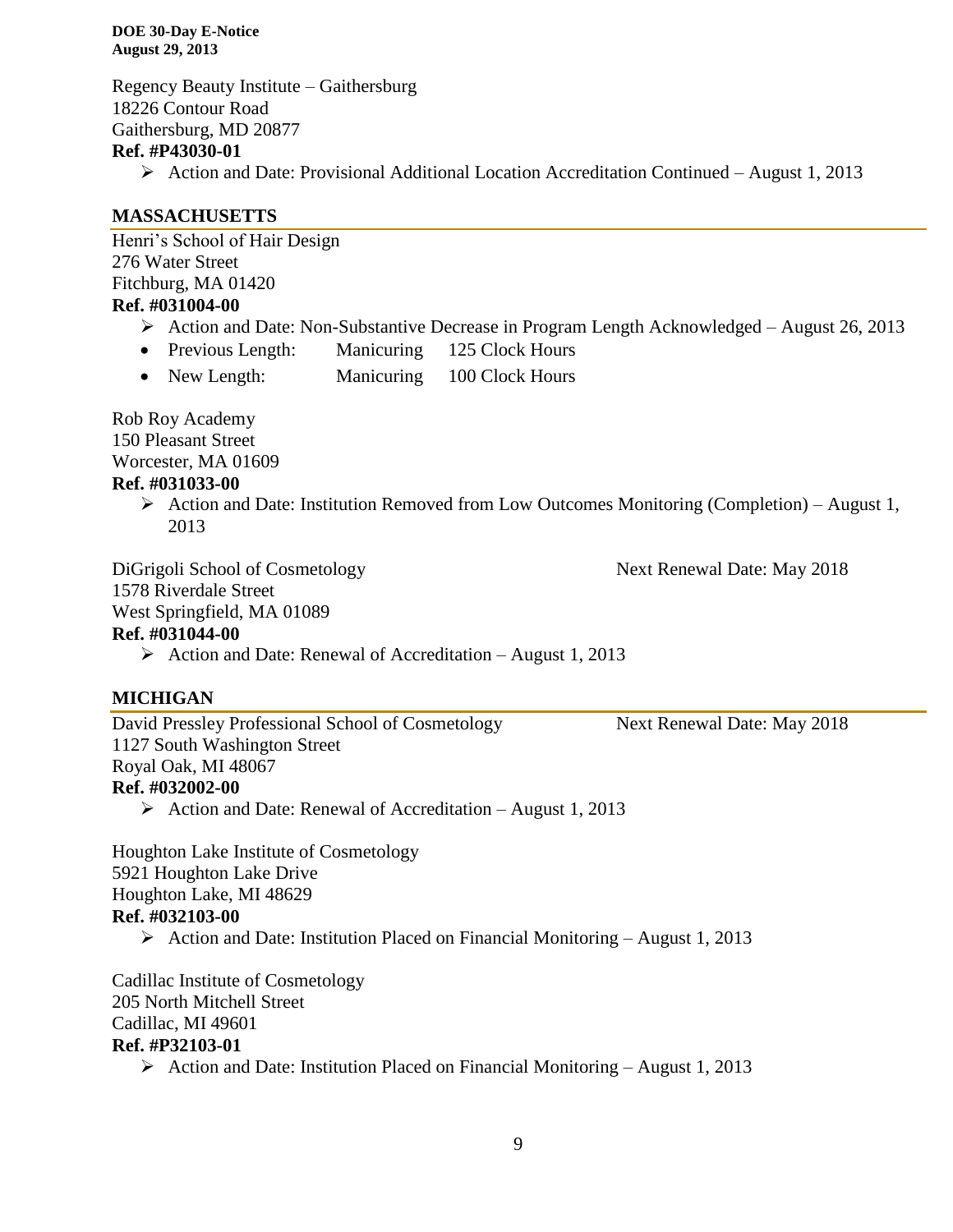Regency Beauty Institute – Gaithersburg 18226 Contour Road Gaithersburg, MD 20877

## **Ref. #P43030-01**

Action and Date: Provisional Additional Location Accreditation Continued – August 1, 2013

#### **MASSACHUSETTS**

Henri's School of Hair Design 276 Water Street Fitchburg, MA 01420 **Ref. #031004-00**

- Action and Date: Non-Substantive Decrease in Program Length Acknowledged August 26, 2013
- Previous Length: Manicuring 125 Clock Hours
- New Length: Manicuring 100 Clock Hours

Rob Roy Academy 150 Pleasant Street Worcester, MA 01609

# **Ref. #031033-00**

 $\triangleright$  Action and Date: Institution Removed from Low Outcomes Monitoring (Completion) – August 1, 2013

DiGrigoli School of Cosmetology Next Renewal Date: May 2018

1578 Riverdale Street

West Springfield, MA 01089

#### **Ref. #031044-00**

Action and Date: Renewal of Accreditation – August 1, 2013

#### **MICHIGAN**

David Pressley Professional School of Cosmetology Next Renewal Date: May 2018 1127 South Washington Street Royal Oak, MI 48067 **Ref. #032002-00**

 $\triangleright$  Action and Date: Renewal of Accreditation – August 1, 2013

Houghton Lake Institute of Cosmetology 5921 Houghton Lake Drive Houghton Lake, MI 48629 **Ref. #032103-00** Action and Date: Institution Placed on Financial Monitoring – August 1, 2013

Cadillac Institute of Cosmetology 205 North Mitchell Street Cadillac, MI 49601 **Ref. #P32103-01**

 $\triangleright$  Action and Date: Institution Placed on Financial Monitoring – August 1, 2013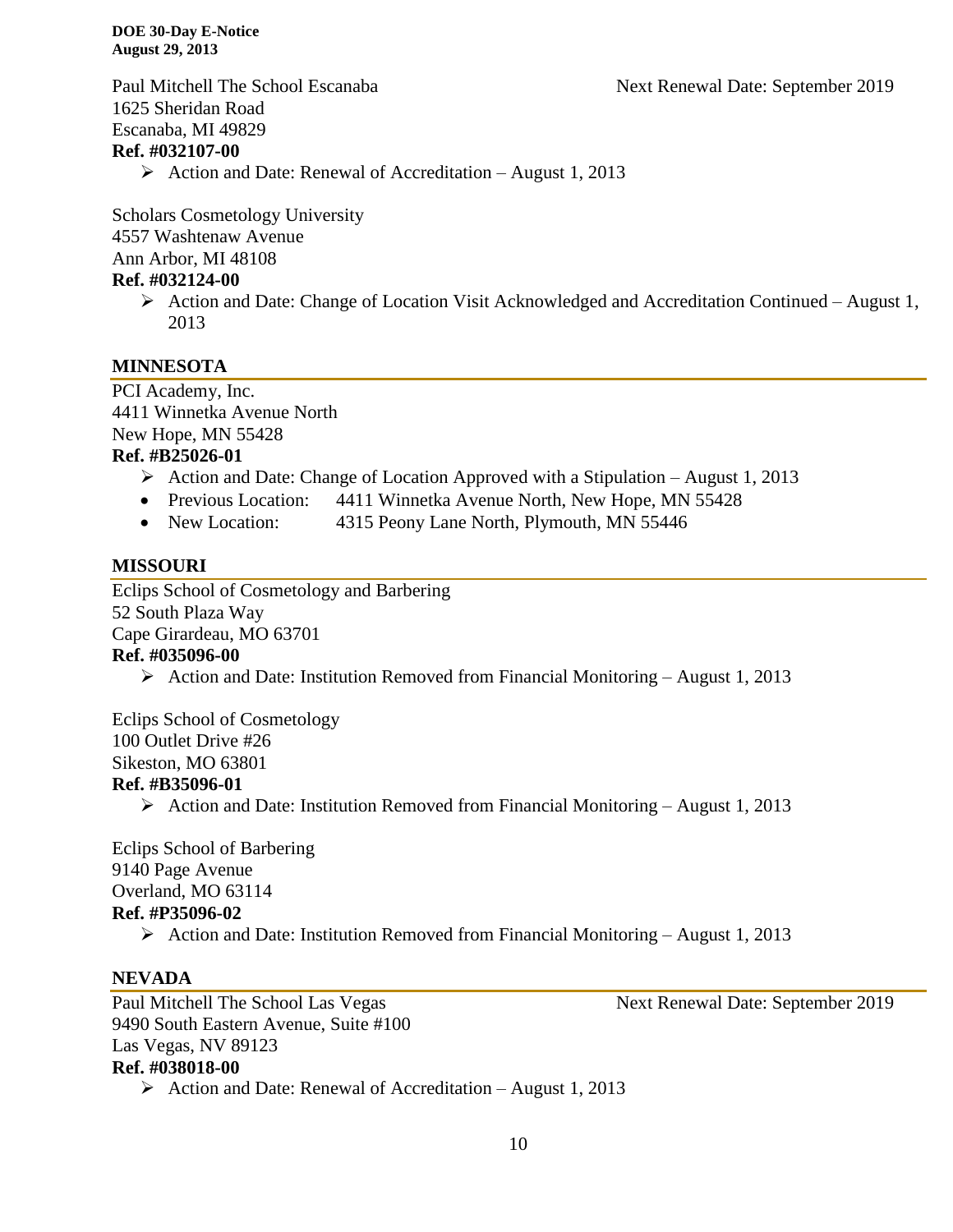1625 Sheridan Road Escanaba, MI 49829

#### **Ref. #032107-00**

 $\triangleright$  Action and Date: Renewal of Accreditation – August 1, 2013

Scholars Cosmetology University 4557 Washtenaw Avenue Ann Arbor, MI 48108 **Ref. #032124-00**

> Action and Date: Change of Location Visit Acknowledged and Accreditation Continued – August 1, 2013

#### **MINNESOTA**

PCI Academy, Inc. 4411 Winnetka Avenue North New Hope, MN 55428 **Ref. #B25026-01**

- Action and Date: Change of Location Approved with a Stipulation August 1, 2013
- Previous Location: 4411 Winnetka Avenue North, New Hope, MN 55428
- New Location: 4315 Peony Lane North, Plymouth, MN 55446

#### **MISSOURI**

Eclips School of Cosmetology and Barbering 52 South Plaza Way Cape Girardeau, MO 63701 **Ref. #035096-00**

Action and Date: Institution Removed from Financial Monitoring – August 1, 2013

Eclips School of Cosmetology 100 Outlet Drive #26 Sikeston, MO 63801 **Ref. #B35096-01**

Action and Date: Institution Removed from Financial Monitoring – August 1, 2013

Eclips School of Barbering 9140 Page Avenue Overland, MO 63114 **Ref. #P35096-02**

Action and Date: Institution Removed from Financial Monitoring – August 1, 2013

#### **NEVADA**

Paul Mitchell The School Las Vegas Next Renewal Date: September 2019 9490 South Eastern Avenue, Suite #100 Las Vegas, NV 89123 **Ref. #038018-00** Action and Date: Renewal of Accreditation – August 1, 2013

Paul Mitchell The School Escanaba Next Renewal Date: September 2019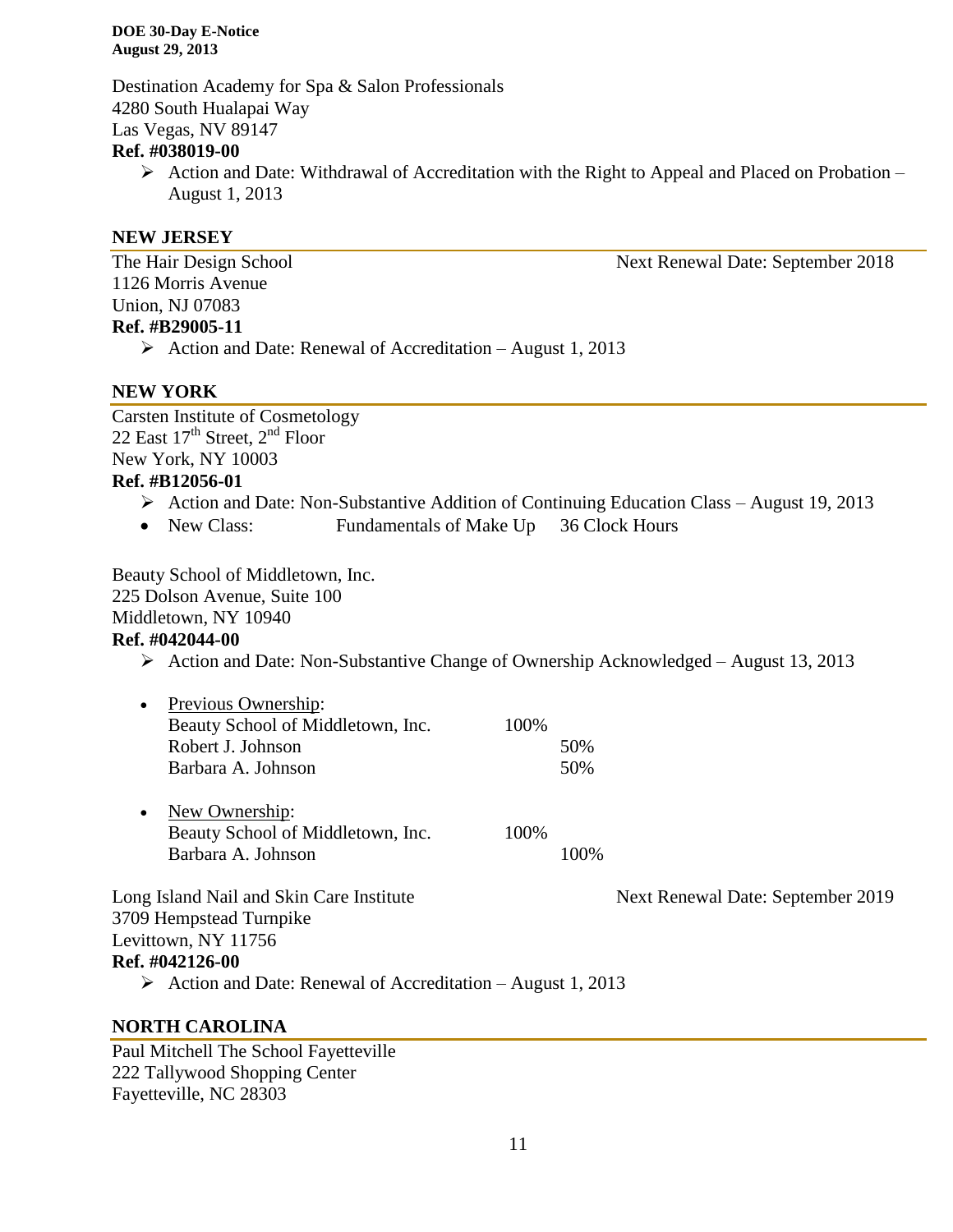Destination Academy for Spa & Salon Professionals 4280 South Hualapai Way Las Vegas, NV 89147

#### **Ref. #038019-00**

 $\triangleright$  Action and Date: Withdrawal of Accreditation with the Right to Appeal and Placed on Probation – August 1, 2013

#### **NEW JERSEY**

1126 Morris Avenue Union, NJ 07083 **Ref. #B29005-11**

 $\triangleright$  Action and Date: Renewal of Accreditation – August 1, 2013

#### **NEW YORK**

Carsten Institute of Cosmetology 22 East 17<sup>th</sup> Street, 2<sup>nd</sup> Floor New York, NY 10003 **Ref. #B12056-01**

- $\triangleright$  Action and Date: Non-Substantive Addition of Continuing Education Class August 19, 2013
- New Class: Fundamentals of Make Up 36 Clock Hours

Beauty School of Middletown, Inc.

225 Dolson Avenue, Suite 100

Middletown, NY 10940

#### **Ref. #042044-00**

Action and Date: Non-Substantive Change of Ownership Acknowledged – August 13, 2013

| • Previous Ownership:             |       |     |
|-----------------------------------|-------|-----|
| Beauty School of Middletown, Inc. | 100\% |     |
| Robert J. Johnson                 |       | 50% |
| Barbara A. Johnson                |       | 50% |
|                                   |       |     |

• New Ownership: Beauty School of Middletown, Inc. 100% Barbara A. Johnson 100%

Long Island Nail and Skin Care Institute Next Renewal Date: September 2019 3709 Hempstead Turnpike Levittown, NY 11756 **Ref. #042126-00**

Action and Date: Renewal of Accreditation – August 1, 2013

#### **NORTH CAROLINA**

Paul Mitchell The School Fayetteville 222 Tallywood Shopping Center Fayetteville, NC 28303

The Hair Design School Next Renewal Date: September 2018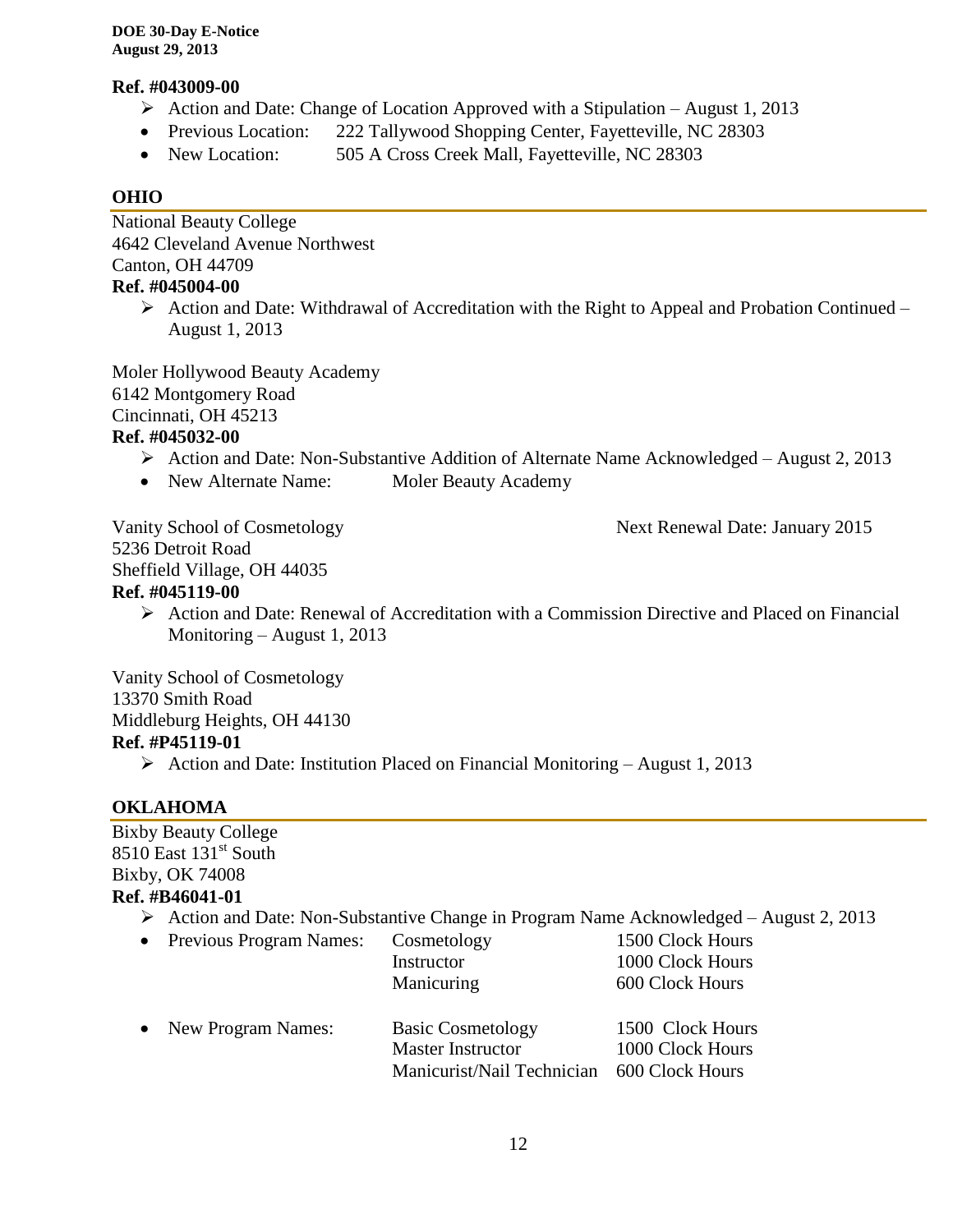#### **Ref. #043009-00**

- $\triangleright$  Action and Date: Change of Location Approved with a Stipulation August 1, 2013
- Previous Location: 222 Tallywood Shopping Center, Fayetteville, NC 28303
- New Location: 505 A Cross Creek Mall, Fayetteville, NC 28303

# **OHIO**

National Beauty College 4642 Cleveland Avenue Northwest Canton, OH 44709 **Ref. #045004-00**

 $\triangleright$  Action and Date: Withdrawal of Accreditation with the Right to Appeal and Probation Continued – August 1, 2013

Moler Hollywood Beauty Academy 6142 Montgomery Road Cincinnati, OH 45213

# **Ref. #045032-00**

- Action and Date: Non-Substantive Addition of Alternate Name Acknowledged August 2, 2013
- New Alternate Name: Moler Beauty Academy

5236 Detroit Road Sheffield Village, OH 44035

#### **Ref. #045119-00**

 $\triangleright$  Action and Date: Renewal of Accreditation with a Commission Directive and Placed on Financial Monitoring – August 1, 2013

Vanity School of Cosmetology

13370 Smith Road

Middleburg Heights, OH 44130

# **Ref. #P45119-01**

 $\triangleright$  Action and Date: Institution Placed on Financial Monitoring – August 1, 2013

# **OKLAHOMA**

Bixby Beauty College 8510 East 131<sup>st</sup> South Bixby, OK 74008 **Ref. #B46041-01**

- Action and Date: Non-Substantive Change in Program Name Acknowledged August 2, 2013
- Previous Program Names: Cosmetology 1500 Clock Hours
- Instructor 1000 Clock Hours Manicuring 600 Clock Hours • New Program Names: Basic Cosmetology 1500 Clock Hours Master Instructor 1000 Clock Hours Manicurist/Nail Technician 600 Clock Hours

Vanity School of Cosmetology Next Renewal Date: January 2015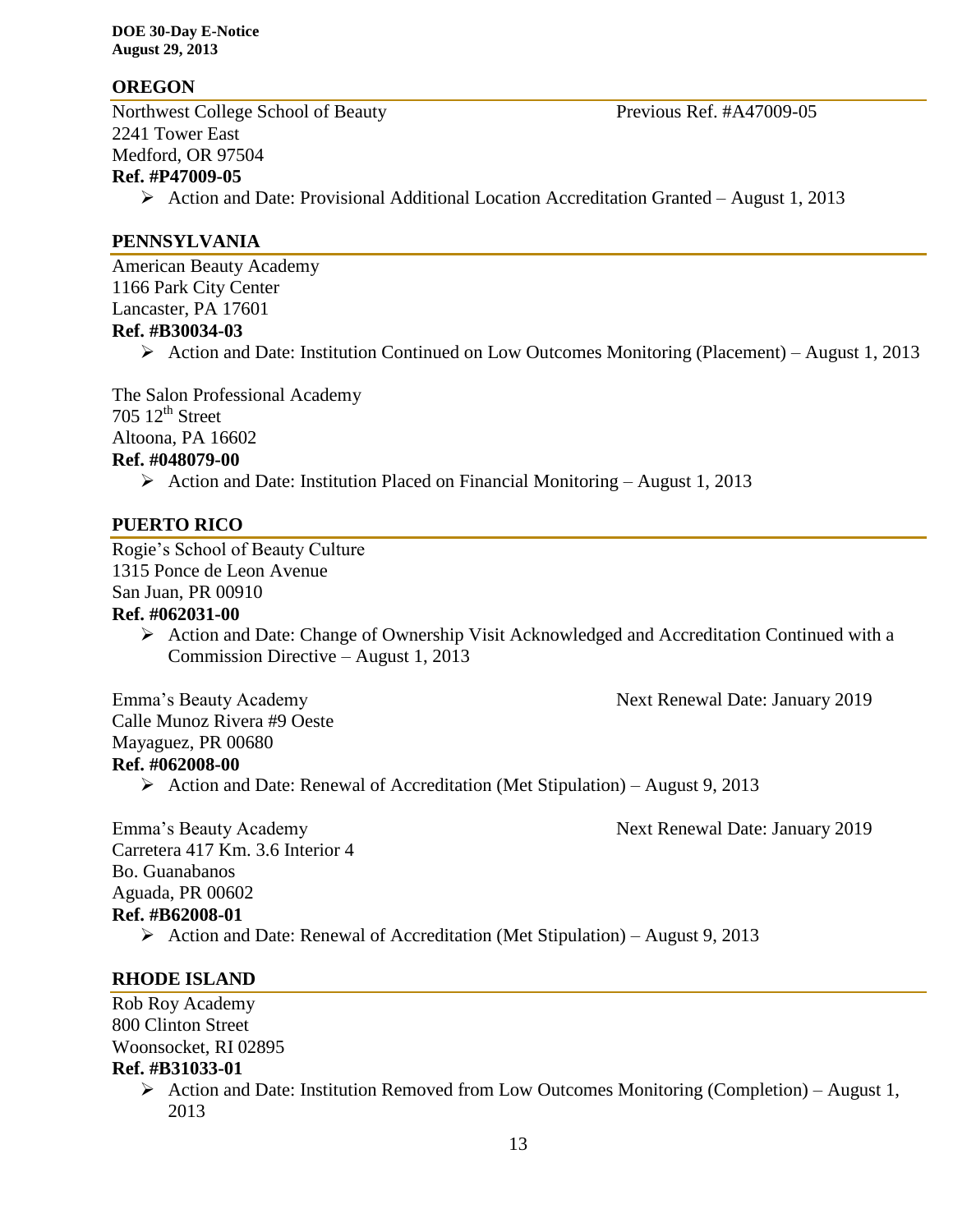#### **OREGON**

Northwest College School of Beauty Previous Ref. #A47009-05 2241 Tower East Medford, OR 97504 **Ref. #P47009-05**  $\triangleright$  Action and Date: Provisional Additional Location Accreditation Granted – August 1, 2013

#### **PENNSYLVANIA**

American Beauty Academy 1166 Park City Center Lancaster, PA 17601 **Ref. #B30034-03**

Action and Date: Institution Continued on Low Outcomes Monitoring (Placement) – August 1, 2013

The Salon Professional Academy  $705 \frac{12^{th}}{3}$  Street Altoona, PA 16602 **Ref. #048079-00**

Action and Date: Institution Placed on Financial Monitoring – August 1, 2013

#### **PUERTO RICO**

Rogie's School of Beauty Culture 1315 Ponce de Leon Avenue San Juan, PR 00910

#### **Ref. #062031-00**

 Action and Date: Change of Ownership Visit Acknowledged and Accreditation Continued with a Commission Directive – August 1, 2013

Emma's Beauty Academy **Next Renewal Date: January 2019** 

Calle Munoz Rivera #9 Oeste Mayaguez, PR 00680 **Ref. #062008-00**

 $\triangleright$  Action and Date: Renewal of Accreditation (Met Stipulation) – August 9, 2013

Emma's Beauty Academy Next Renewal Date: January 2019

Carretera 417 Km. 3.6 Interior 4 Bo. Guanabanos Aguada, PR 00602

#### **Ref. #B62008-01**

Action and Date: Renewal of Accreditation (Met Stipulation) – August 9, 2013

#### **RHODE ISLAND**

Rob Roy Academy 800 Clinton Street Woonsocket, RI 02895 **Ref. #B31033-01**

Action and Date: Institution Removed from Low Outcomes Monitoring (Completion) – August 1, 2013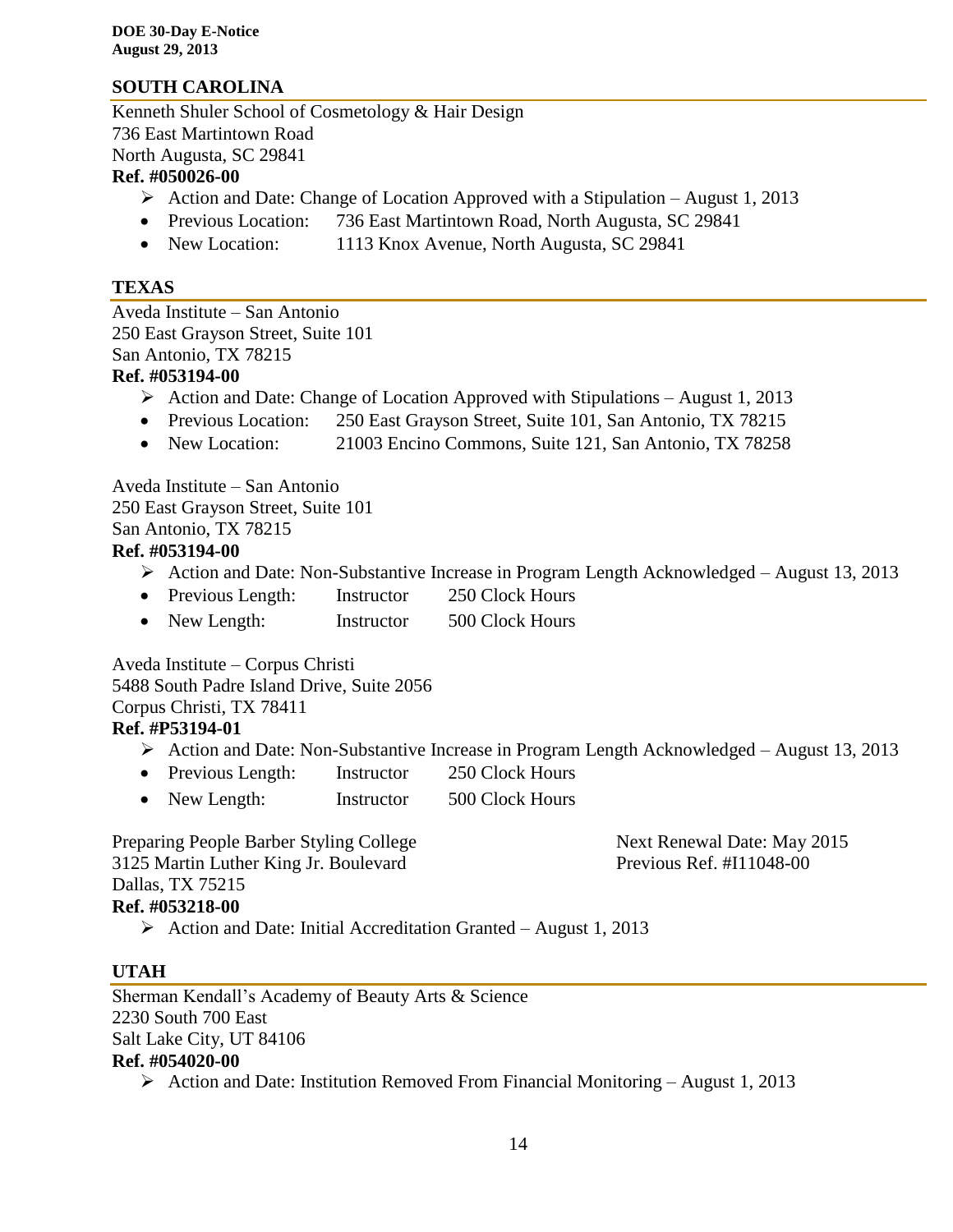# **SOUTH CAROLINA**

Kenneth Shuler School of Cosmetology & Hair Design 736 East Martintown Road North Augusta, SC 29841

#### **Ref. #050026-00**

- $\triangleright$  Action and Date: Change of Location Approved with a Stipulation August 1, 2013
- Previous Location: 736 East Martintown Road, North Augusta, SC 29841
- New Location: 1113 Knox Avenue, North Augusta, SC 29841

#### **TEXAS**

Aveda Institute – San Antonio 250 East Grayson Street, Suite 101 San Antonio, TX 78215 **Ref. #053194-00**

- Action and Date: Change of Location Approved with Stipulations August 1, 2013
- Previous Location: 250 East Grayson Street, Suite 101, San Antonio, TX 78215
- New Location: 21003 Encino Commons, Suite 121, San Antonio, TX 78258

Aveda Institute – San Antonio 250 East Grayson Street, Suite 101 San Antonio, TX 78215 **Ref. #053194-00**

- Action and Date: Non-Substantive Increase in Program Length Acknowledged August 13, 2013
- Previous Length: Instructor 250 Clock Hours
- New Length: Instructor 500 Clock Hours

Aveda Institute – Corpus Christi 5488 South Padre Island Drive, Suite 2056 Corpus Christi, TX 78411 **Ref. #P53194-01**

- Action and Date: Non-Substantive Increase in Program Length Acknowledged August 13, 2013
- Previous Length: Instructor 250 Clock Hours
- New Length: Instructor 500 Clock Hours

Preparing People Barber Styling College Next Renewal Date: May 2015 3125 Martin Luther King Jr. Boulevard Previous Ref. #I11048-00 Dallas, TX 75215 **Ref. #053218-00**

 $\triangleright$  Action and Date: Initial Accreditation Granted – August 1, 2013

# **UTAH**

Sherman Kendall's Academy of Beauty Arts & Science 2230 South 700 East Salt Lake City, UT 84106 **Ref. #054020-00**

Action and Date: Institution Removed From Financial Monitoring – August 1, 2013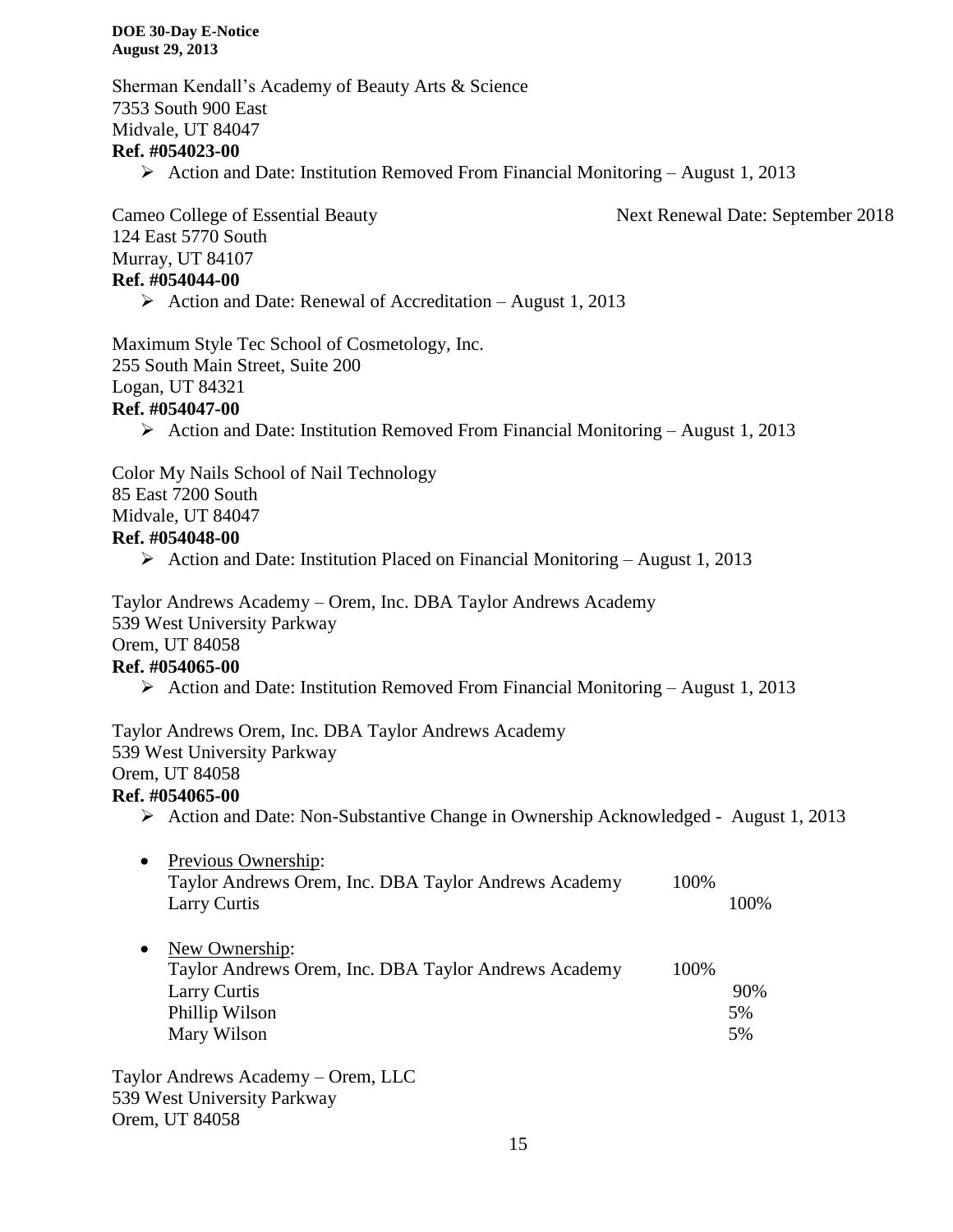Sherman Kendall's Academy of Beauty Arts & Science 7353 South 900 East Midvale, UT 84047

#### **Ref. #054023-00**

 $\triangleright$  Action and Date: Institution Removed From Financial Monitoring – August 1, 2013

Cameo College of Essential Beauty Next Renewal Date: September 2018 124 East 5770 South Murray, UT 84107 **Ref. #054044-00**

 $\triangleright$  Action and Date: Renewal of Accreditation – August 1, 2013

Maximum Style Tec School of Cosmetology, Inc. 255 South Main Street, Suite 200 Logan, UT 84321

#### **Ref. #054047-00**

Action and Date: Institution Removed From Financial Monitoring – August 1, 2013

Color My Nails School of Nail Technology

85 East 7200 South

Midvale, UT 84047

#### **Ref. #054048-00**

Action and Date: Institution Placed on Financial Monitoring – August 1, 2013

Taylor Andrews Academy – Orem, Inc. DBA Taylor Andrews Academy 539 West University Parkway Orem, UT 84058

#### **Ref. #054065-00**

Action and Date: Institution Removed From Financial Monitoring – August 1, 2013

Taylor Andrews Orem, Inc. DBA Taylor Andrews Academy 539 West University Parkway Orem, UT 84058

#### **Ref. #054065-00**

- Action and Date: Non-Substantive Change in Ownership Acknowledged August 1, 2013
- Previous Ownership: Taylor Andrews Orem, Inc. DBA Taylor Andrews Academy 100% Larry Curtis 100%
- New Ownership: Taylor Andrews Orem, Inc. DBA Taylor Andrews Academy 100% Larry Curtis 90% Phillip Wilson 5% Mary Wilson 5%

Taylor Andrews Academy – Orem, LLC 539 West University Parkway Orem, UT 84058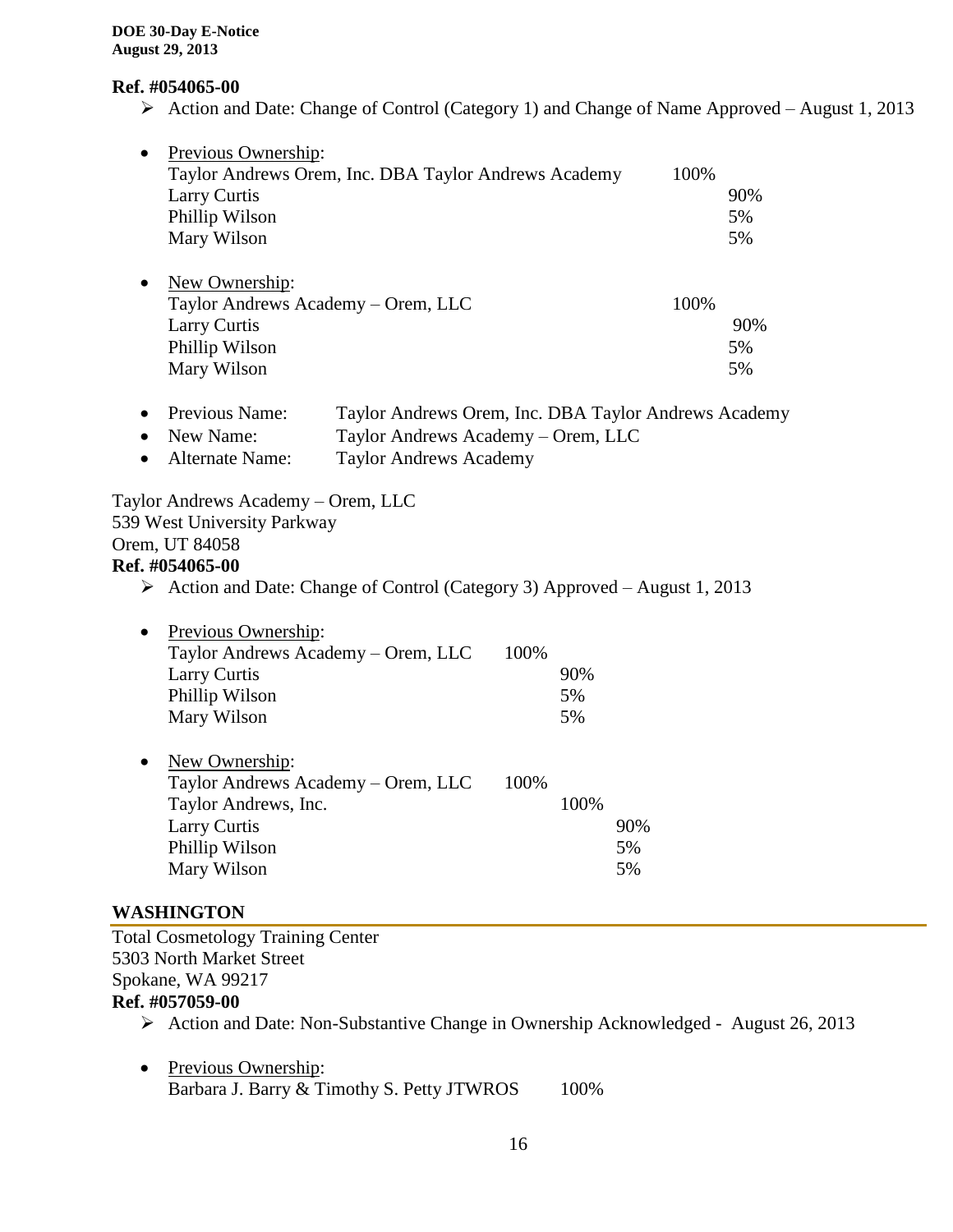#### **Ref. #054065-00**

Action and Date: Change of Control (Category 1) and Change of Name Approved – August 1, 2013

| $\bullet$<br>Larry Curtis<br>Phillip Wilson<br>Mary Wilson                                                                                                                                                                       | Previous Ownership: | Taylor Andrews Orem, Inc. DBA Taylor Andrews Academy | 100% | 90%<br>5%<br>5% |
|----------------------------------------------------------------------------------------------------------------------------------------------------------------------------------------------------------------------------------|---------------------|------------------------------------------------------|------|-----------------|
| New Ownership:<br>$\bullet$<br>Larry Curtis<br>Phillip Wilson<br>Mary Wilson                                                                                                                                                     |                     | Taylor Andrews Academy – Orem, LLC                   | 100% | 90%<br>5%<br>5% |
| Previous Name:<br>Taylor Andrews Orem, Inc. DBA Taylor Andrews Academy<br>New Name:<br>Taylor Andrews Academy – Orem, LLC<br>$\bullet$<br><b>Taylor Andrews Academy</b><br>Alternate Name:<br>Taylor Andrews Academy – Orem, LLC |                     |                                                      |      |                 |
| 539 West University Parkway                                                                                                                                                                                                      |                     |                                                      |      |                 |
| Orem, UT 84058                                                                                                                                                                                                                   |                     |                                                      |      |                 |

#### **Ref. #054065-00**

Action and Date: Change of Control (Category 3) Approved – August 1, 2013

| Previous Ownership:                |      |      |     |
|------------------------------------|------|------|-----|
| Taylor Andrews Academy – Orem, LLC | 100% |      |     |
| <b>Larry Curtis</b>                |      | 90%  |     |
| Phillip Wilson                     |      | 5%   |     |
| Mary Wilson                        |      | 5%   |     |
|                                    |      |      |     |
| New Ownership:                     |      |      |     |
| Taylor Andrews Academy – Orem, LLC | 100% |      |     |
| Taylor Andrews, Inc.               |      | 100% |     |
| Larry Curtis                       |      |      | 90% |
|                                    |      |      |     |
| Phillip Wilson                     |      |      | 5%  |
|                                    |      |      |     |

#### **WASHINGTON**

Total Cosmetology Training Center 5303 North Market Street Spokane, WA 99217 **Ref. #057059-00**

- Action and Date: Non-Substantive Change in Ownership Acknowledged August 26, 2013
- Previous Ownership: Barbara J. Barry & Timothy S. Petty JTWROS 100%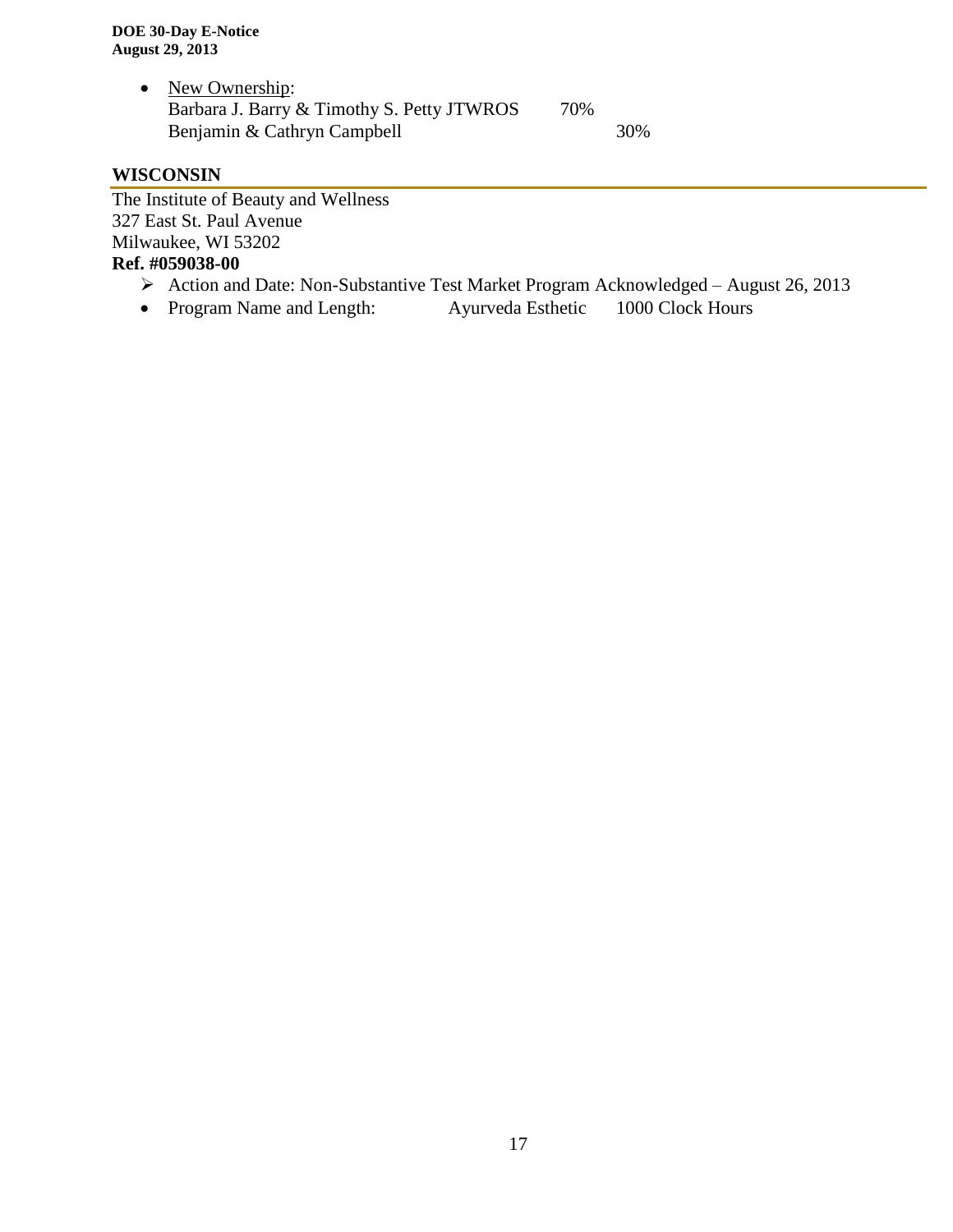• New Ownership: Barbara J. Barry & Timothy S. Petty JTWROS 70% Benjamin & Cathryn Campbell 30%

# **WISCONSIN**

The Institute of Beauty and Wellness 327 East St. Paul Avenue Milwaukee, WI 53202 **Ref. #059038-00**

- Action and Date: Non-Substantive Test Market Program Acknowledged August 26, 2013
- Program Name and Length: Ayurveda Esthetic 1000 Clock Hours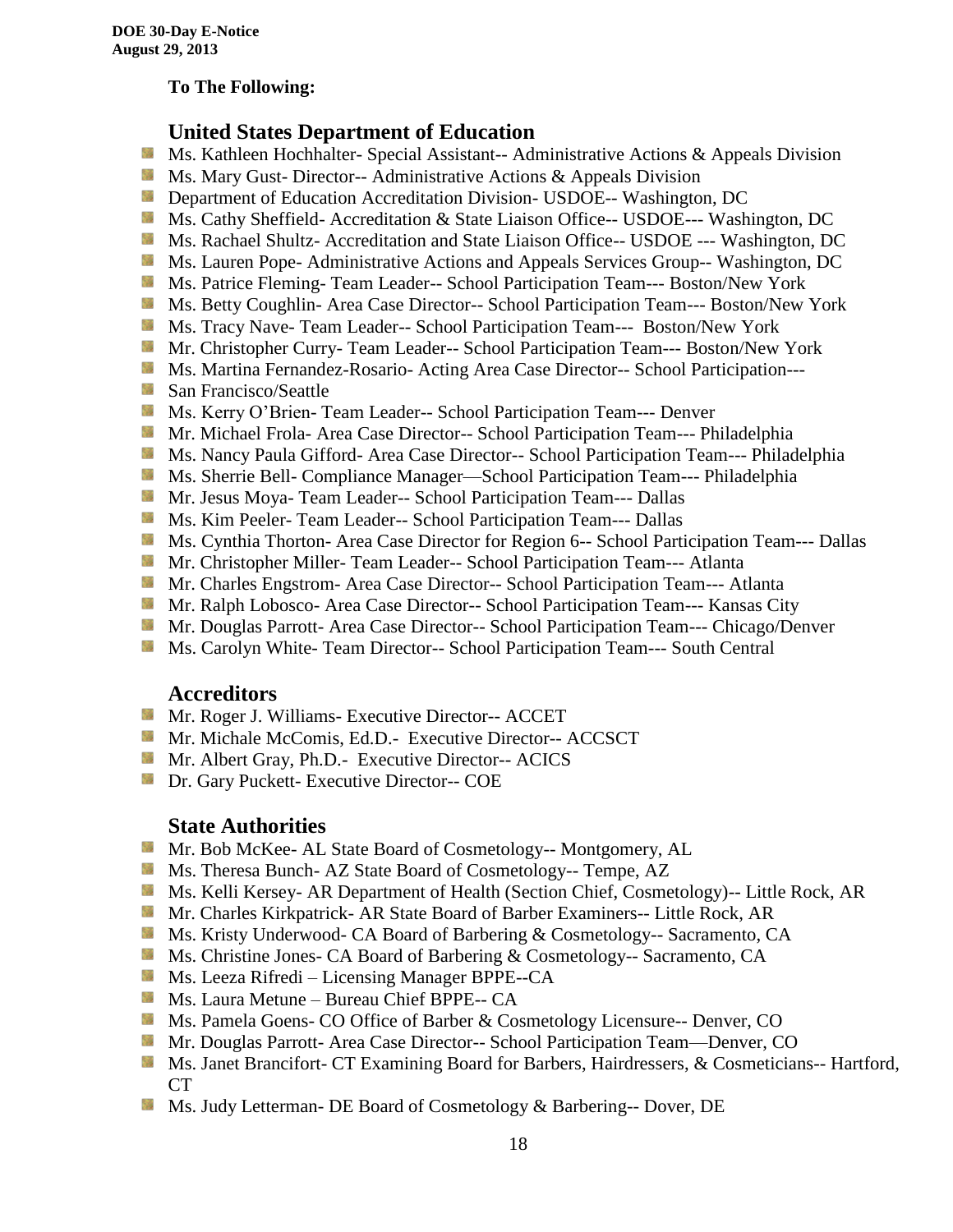### **To The Following:**

# **United States Department of Education**

- **Ms. Kathleen Hochhalter- Special Assistant-- Administrative Actions & Appeals Division**
- **MS. Mary Gust- Director-- Administrative Actions & Appeals Division**
- **Department of Education Accreditation Division- USDOE-- Washington, DC**
- Ms. Cathy Sheffield- Accreditation & State Liaison Office-- USDOE--- Washington, DC
- **MS. Rachael Shultz- Accreditation and State Liaison Office-- USDOE --- Washington, DC**
- Ms. Lauren Pope- Administrative Actions and Appeals Services Group-- Washington, DC
- Ms. Patrice Fleming-Team Leader-- School Participation Team--- Boston/New York
- **MS. Betty Coughlin- Area Case Director-- School Participation Team--- Boston/New York**
- Ms. Tracy Nave-Team Leader-- School Participation Team--- Boston/New York
- **Mr. Christopher Curry- Team Leader-- School Participation Team--- Boston/New York**
- Ms. Martina Fernandez-Rosario- Acting Area Case Director-- School Participation---
- **San Francisco/Seattle**
- **Ms. Kerry O'Brien- Team Leader-- School Participation Team--- Denver**
- **Mr. Michael Frola- Area Case Director-- School Participation Team--- Philadelphia**
- **MS. Nancy Paula Gifford- Area Case Director-- School Participation Team--- Philadelphia**
- Ms. Sherrie Bell- Compliance Manager—School Participation Team--- Philadelphia
- Mr. Jesus Moya- Team Leader-- School Participation Team--- Dallas
- **MS. Kim Peeler- Team Leader-- School Participation Team--- Dallas**
- **Ms. Cynthia Thorton- Area Case Director for Region 6-- School Participation Team--- Dallas**
- **Mr.** Christopher Miller-Team Leader-- School Participation Team--- Atlanta
- **Mr.** Charles Engstrom- Area Case Director-- School Participation Team--- Atlanta
- Mr. Ralph Lobosco- Area Case Director-- School Participation Team--- Kansas City
- **Mr. Douglas Parrott- Area Case Director-- School Participation Team--- Chicago/Denver**
- **MS. Carolyn White-Team Director-- School Participation Team--- South Central**

#### **Accreditors**

- **Mr. Roger J. Williams- Executive Director-- ACCET**
- Mr. Michale McComis, Ed.D.- Executive Director-- ACCSCT
- **Mr.** Albert Gray, Ph.D.- Executive Director-- ACICS
- **Dr.** Gary Puckett- Executive Director-- COE

#### **State Authorities**

- Mr. Bob McKee- AL State Board of Cosmetology-- Montgomery, AL
- Ms. Theresa Bunch- AZ State Board of Cosmetology-- Tempe, AZ
- **Ms. Kelli Kersey- AR Department of Health (Section Chief, Cosmetology)**-- Little Rock, AR
- Mr. Charles Kirkpatrick- AR State Board of Barber Examiners-- Little Rock, AR
- Ms. Kristy Underwood- CA Board of Barbering & Cosmetology-- Sacramento, CA
- Ms. Christine Jones- CA Board of Barbering & Cosmetology-- Sacramento, CA
- Ms. Leeza Rifredi Licensing Manager BPPE--CA
- **Ms. Laura Metune Bureau Chief BPPE-- CA**
- **Ms. Pamela Goens- CO Office of Barber & Cosmetology Licensure-- Denver, CO**
- Mr. Douglas Parrott- Area Case Director-- School Participation Team—Denver, CO
- Ms. Janet Brancifort- CT Examining Board for Barbers, Hairdressers, & Cosmeticians-- Hartford, CT
- Ms. Judy Letterman- DE Board of Cosmetology & Barbering-- Dover, DE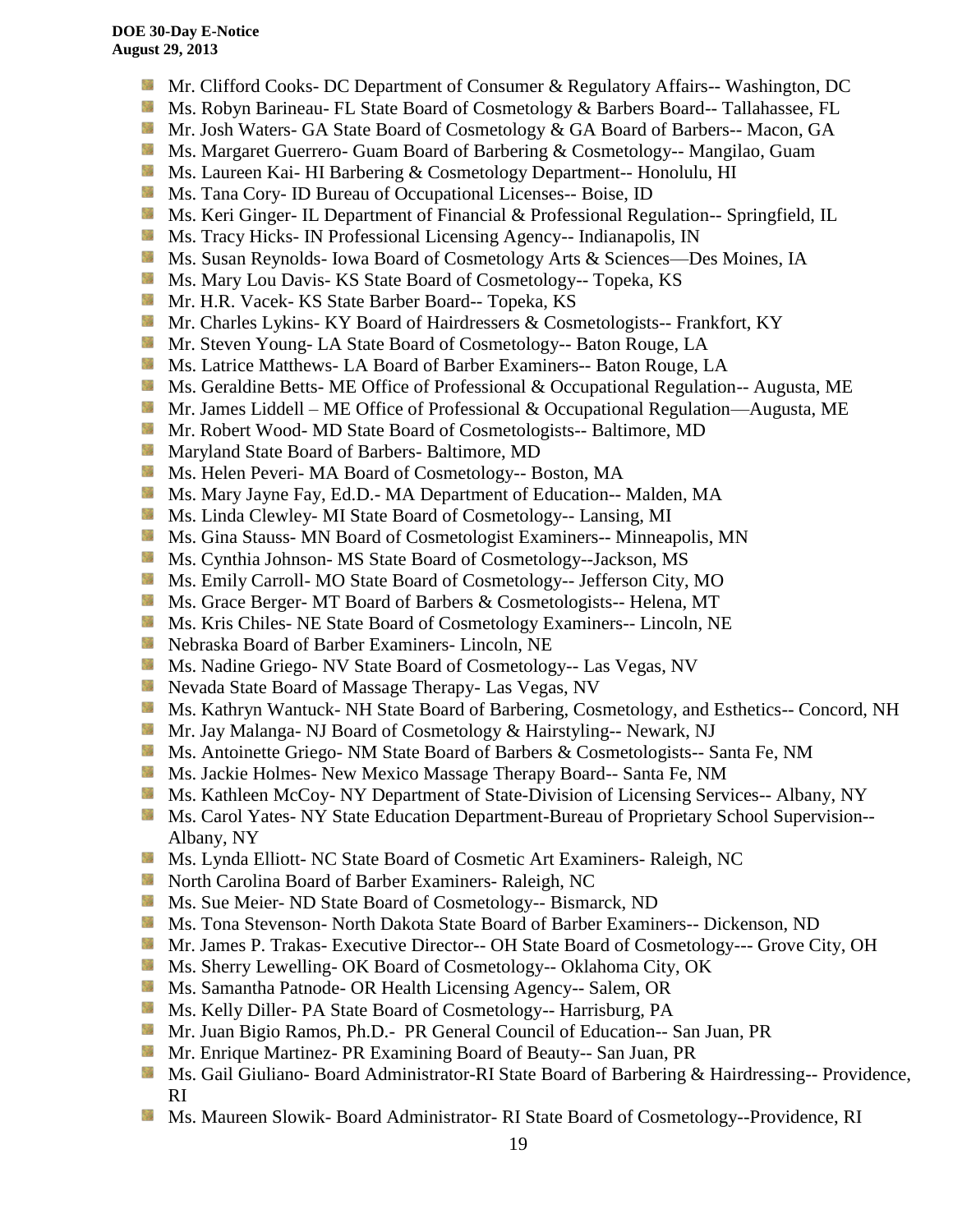- **Mr.** Clifford Cooks- DC Department of Consumer & Regulatory Affairs-- Washington, DC
- Ms. Robyn Barineau- FL State Board of Cosmetology & Barbers Board-- Tallahassee, FL
- Mr. Josh Waters- GA State Board of Cosmetology & GA Board of Barbers-- Macon, GA
- **Ms. Margaret Guerrero- Guam Board of Barbering & Cosmetology-- Mangilao, Guam**
- **Ms. Laureen Kai- HI Barbering & Cosmetology Department-- Honolulu, HI**
- **Ms.** Tana Cory- ID Bureau of Occupational Licenses-- Boise, ID
- **Ms. Keri Ginger- IL Department of Financial & Professional Regulation-- Springfield, IL**
- **Ms.** Tracy Hicks- IN Professional Licensing Agency-- Indianapolis, IN
- SS. Ms. Susan Reynolds- Iowa Board of Cosmetology Arts & Sciences—Des Moines, IA
- **Ms. Mary Lou Davis- KS State Board of Cosmetology-- Topeka, KS**
- **Mr. H.R. Vacek- KS State Barber Board-- Topeka, KS**
- 56 Mr. Charles Lykins- KY Board of Hairdressers & Cosmetologists-- Frankfort, KY
- Mr. Steven Young- LA State Board of Cosmetology-- Baton Rouge, LA
- Ms. Latrice Matthews- LA Board of Barber Examiners-- Baton Rouge, LA
- **Ms.** Geraldine Betts- ME Office of Professional & Occupational Regulation-- Augusta, ME
- Mr. James Liddell ME Office of Professional & Occupational Regulation—Augusta, ME
- **Mr. Robert Wood- MD State Board of Cosmetologists-- Baltimore, MD**
- **Maryland State Board of Barbers- Baltimore, MD**
- Ms. Helen Peveri- MA Board of Cosmetology-- Boston, MA
- Ms. Mary Jayne Fay, Ed.D.- MA Department of Education-- Malden, MA
- Ms. Linda Clewley- MI State Board of Cosmetology-- Lansing, MI
- Ms. Gina Stauss- MN Board of Cosmetologist Examiners-- Minneapolis, MN
- Ms. Cynthia Johnson- MS State Board of Cosmetology--Jackson, MS
- Ms. Emily Carroll- MO State Board of Cosmetology-- Jefferson City, MO
- 59 Ms. Grace Berger- MT Board of Barbers & Cosmetologists-- Helena, MT
- Ms. Kris Chiles- NE State Board of Cosmetology Examiners-- Lincoln, NE
- Nebraska Board of Barber Examiners- Lincoln, NE
- Ms. Nadine Griego- NV State Board of Cosmetology-- Las Vegas, NV
- Nevada State Board of Massage Therapy- Las Vegas, NV
- Ms. Kathryn Wantuck- NH State Board of Barbering, Cosmetology, and Esthetics-- Concord, NH
- **Mr. Jay Malanga- NJ Board of Cosmetology & Hairstyling-- Newark, NJ**
- Ms. Antoinette Griego- NM State Board of Barbers & Cosmetologists-- Santa Fe, NM
- **Ms. Jackie Holmes- New Mexico Massage Therapy Board-- Santa Fe, NM**
- Ms. Kathleen McCoy- NY Department of State-Division of Licensing Services-- Albany, NY
- **Ms. Carol Yates- NY State Education Department-Bureau of Proprietary School Supervision--**Albany, NY
- **Ms. Lynda Elliott- NC State Board of Cosmetic Art Examiners- Raleigh, NC**
- **North Carolina Board of Barber Examiners- Raleigh, NC**
- **Ms.** Sue Meier- ND State Board of Cosmetology-- Bismarck, ND
- Ms. Tona Stevenson- North Dakota State Board of Barber Examiners-- Dickenson, ND
- **Mr. James P. Trakas- Executive Director-- OH State Board of Cosmetology--- Grove City, OH**
- Ms. Sherry Lewelling- OK Board of Cosmetology-- Oklahoma City, OK
- **Ms. Samantha Patnode- OR Health Licensing Agency-- Salem, OR**
- **Ms. Kelly Diller-PA State Board of Cosmetology-- Harrisburg, PA**
- Mr. Juan Bigio Ramos, Ph.D.- PR General Council of Education-- San Juan, PR
- **Mr.** Enrique Martinez- PR Examining Board of Beauty-- San Juan, PR
- Ms. Gail Giuliano- Board Administrator-RI State Board of Barbering & Hairdressing-- Providence, RI
- Ms. Maureen Slowik- Board Administrator- RI State Board of Cosmetology--Providence, RIS.